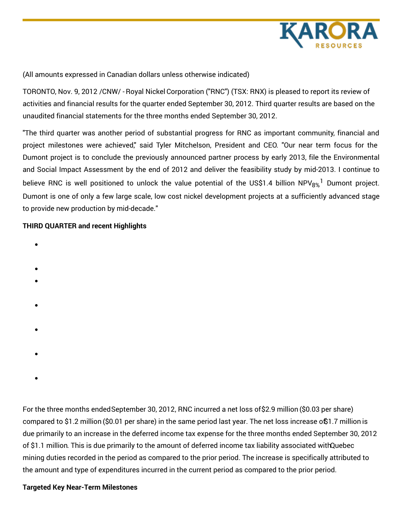

(All amounts expressed in Canadian dollars unless otherwise indicated)

TORONTO, Nov. 9, 2012 /CNW/ - Royal Nickel Corporation ("RNC") (TSX: RNX) is pleased to report its review of activities and financial results for the quarter ended September 30, 2012. Third quarter results are based on the unaudited financial statements for the three months ended September 30, 2012.

"The third quarter was another period of substantial progress for RNC as important community, financial and project milestones were achieved," said Tyler Mitchelson, President and CEO. "Our near term focus for the Dumont project is to conclude the previously announced partner process by early 2013, file the Environmental and Social Impact Assessment by the end of 2012 and deliver the feasibility study by mid-2013. I continue to believe RNC is well positioned to unlock the value potential of the US\$1.4 billion NPV $_{8\%}^{-1}$  Dumont project. Dumont is one of only a few large scale, low cost nickel development projects at a sufficiently advanced stage to provide new production by mid-decade."

## **THIRD QUARTER and recent Highlights**

- 
- 
- 
- 
- 
- 
- 
- 
- 

For the three months endedSeptember 30, 2012, RNC incurred a net loss of\$2.9 million (\$0.03 per share) compared to \$1.2 million (\$0.01 per share) in the same period last year. The net loss increase of\$1.7 million is due primarily to an increase in the deferred income tax expense for the three months ended September 30, 2012 of \$1.1 million. This is due primarily to the amount of deferred income tax liability associated withQuebec mining duties recorded in the period as compared to the prior period. The increase is specifically attributed to the amount and type of expenditures incurred in the current period as compared to the prior period.

## **Targeted Key Near-Term Milestones**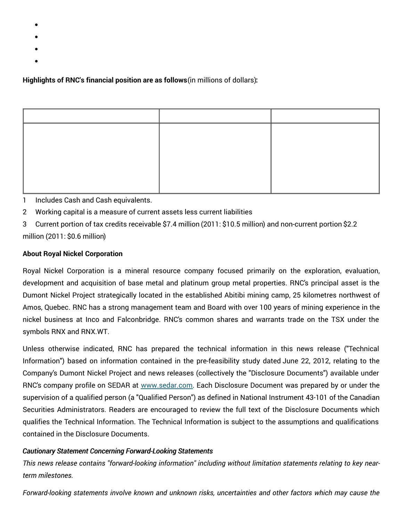- 
- 
- 
- 

**Highlights of RNC's financial position are as follows**(in millions of dollars)**:**

1 Includes Cash and Cash equivalents.

- 2 Working capital is a measure of current assets less current liabilities
- 3 Current portion of tax credits receivable \$7.4 million (2011: \$10.5 million) and non-current portion \$2.2 million (2011: \$0.6 million)

## **About Royal Nickel Corporation**

Royal Nickel Corporation is a mineral resource company focused primarily on the exploration, evaluation, development and acquisition of base metal and platinum group metal properties. RNC's principal asset is the Dumont Nickel Project strategically located in the established Abitibi mining camp, 25 kilometres northwest of Amos, Quebec. RNC has a strong management team and Board with over 100 years of mining experience in the nickel business at Inco and Falconbridge. RNC's common shares and warrants trade on the TSX under the symbols RNX and RNX.WT.

Unless otherwise indicated, RNC has prepared the technical information in this news release ("Technical Information") based on information contained in the pre-feasibility study dated June 22, 2012, relating to the Company's Dumont Nickel Project and news releases (collectively the "Disclosure Documents") available under RNC's company profile on SEDAR at [www.sedar.com](http://www.sedar.com). Each Disclosure Document was prepared by or under the supervision of a qualified person (a "Qualified Person") as defined in National Instrument 43-101 of the Canadian Securities Administrators. Readers are encouraged to review the full text of the Disclosure Documents which qualifies the Technical Information. The Technical Information is subject to the assumptions and qualifications contained in the Disclosure Documents.

## *Cautionary Statement Concerning Forward-Looking Statements*

*This news release contains "forward-looking information" including without limitation statements relating to key nearterm milestones.*

*Forward-looking statements involve known and unknown risks, uncertainties and other factors which may cause the*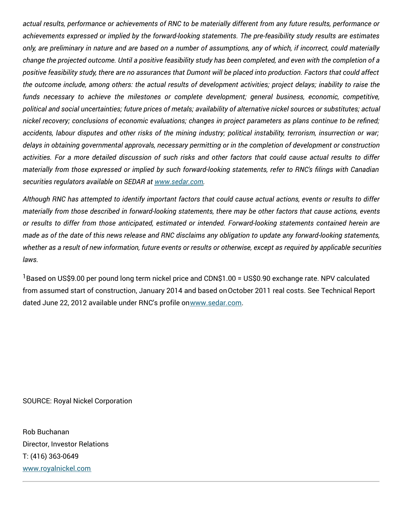actual results, performance or achievements of RNC to be materially different from any future results, performance or *achievements expressed or implied by the forward-looking statements. The pre-feasibility study results are estimates* only, are preliminary in nature and are based on a number of assumptions, any of which, if incorrect, could materially change the projected outcome. Until a positive feasibility study has been completed, and even with the completion of a positive feasibility study, there are no assurances that Dumont will be placed into production. Factors that could affect the outcome include, among others: the actual results of development activities; project delays; inability to raise the *funds necessary to achieve the milestones or complete development; general business, economic, competitive,* political and social uncertainties; future prices of metals; availability of alternative nickel sources or substitutes; actual nickel recovery; conclusions of economic evaluations; changes in project parameters as plans continue to be refined; accidents, labour disputes and other risks of the mining industry; political instability, terrorism, insurrection or war; *delays in obtaining governmental approvals, necessary permitting or in the completion of development or construction* activities. For a more detailed discussion of such risks and other factors that could cause actual results to differ materially from those expressed or implied by such forward-looking statements, refer to RNC's filings with Canadian *securities regulators available on SEDAR at [www.sedar.com](http://www.sedar.com).*

Although RNC has attempted to identify important factors that could cause actual actions, events or results to differ materially from those described in forward-looking statements, there may be other factors that cause actions, events *or results to differ from those anticipated, estimated or intended. Forward-looking statements contained herein are* made as of the date of this news release and RNC disclaims any obligation to update any forward-looking statements, whether as a result of new information, future events or results or otherwise, except as required by applicable securities *laws.*

<sup>1</sup> Based on US\$9.00 per pound long term nickel price and CDN\$1.00 = US\$0.90 exchange rate. NPV calculated from assumed start of construction, January 2014 and based onOctober 2011 real costs. See Technical Report dated June 22, 2012 available under RNC's profile o[nwww.sedar.com](http://www.sedar.com).

SOURCE: Royal Nickel Corporation

Rob Buchanan Director, Investor Relations T: (416) 363-0649 [www.royalnickel.com](http://www.royalnickel.com)